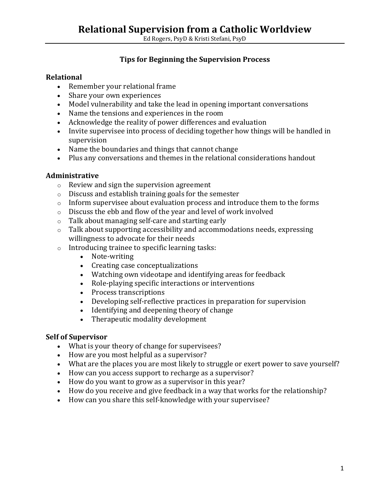Ed Rogers, PsyD & Kristi Stefani, PsyD

# **Tips for Beginning the Supervision Process**

#### **Relational**

- Remember your relational frame
- Share your own experiences
- Model vulnerability and take the lead in opening important conversations
- Name the tensions and experiences in the room
- Acknowledge the reality of power differences and evaluation
- Invite supervisee into process of deciding together how things will be handled in supervision
- Name the boundaries and things that cannot change
- Plus any conversations and themes in the relational considerations handout

## **Administrative**

- o Review and sign the supervision agreement
- o Discuss and establish training goals for the semester
- $\circ$  Inform supervisee about evaluation process and introduce them to the forms
- o Discuss the ebb and flow of the year and level of work involved
- o Talk about managing self-care and starting early
- $\circ$  Talk about supporting accessibility and accommodations needs, expressing willingness to advocate for their needs
- o Introducing trainee to specific learning tasks:
	- Note-writing
	- Creating case conceptualizations
	- Watching own videotape and identifying areas for feedback
	- Role-playing specific interactions or interventions
	- Process transcriptions
	- Developing self-reflective practices in preparation for supervision
	- Identifying and deepening theory of change<br>• Therapeutic modality development
	- Therapeutic modality development

#### **Self of Supervisor**

- What is your theory of change for supervisees?
- How are you most helpful as a supervisor?
- What are the places you are most likely to struggle or exert power to save yourself?
- How can you access support to recharge as a supervisor?
- How do you want to grow as a supervisor in this year?
- How do you receive and give feedback in a way that works for the relationship?
- How can you share this self-knowledge with your supervisee?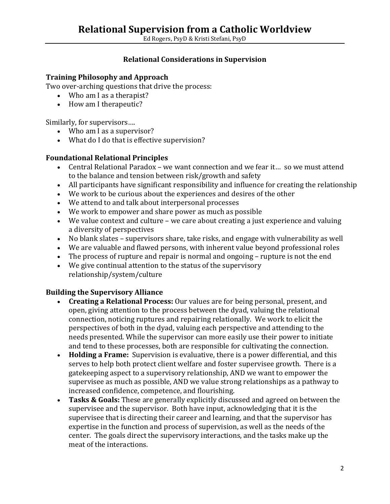# **Relational Supervision from a Catholic Worldview**

Ed Rogers, PsyD & Kristi Stefani, PsyD

#### **Relational Considerations in Supervision**

#### **Training Philosophy and Approach**

Two over-arching questions that drive the process:

- Who am I as a therapist?
- How am I therapeutic?

Similarly, for supervisors….

- Who am I as a supervisor?
- What do I do that is effective supervision?

#### **Foundational Relational Principles**

- Central Relational Paradox we want connection and we fear it... so we must attend to the balance and tension between risk/growth and safety
- All participants have significant responsibility and influence for creating the relationship
- We work to be curious about the experiences and desires of the other
- We attend to and talk about interpersonal processes
- We work to empower and share power as much as possible
- We value context and culture we care about creating a just experience and valuing a diversity of perspectives
- No blank slates supervisors share, take risks, and engage with vulnerability as well
- We are valuable and flawed persons, with inherent value beyond professional roles
- The process of rupture and repair is normal and ongoing rupture is not the end
- We give continual attention to the status of the supervisory relationship/system/culture

# **Building the Supervisory Alliance**

- **Creating a Relational Process:** Our values are for being personal, present, and open, giving attention to the process between the dyad, valuing the relational connection, noticing ruptures and repairing relationally. We work to elicit the perspectives of both in the dyad, valuing each perspective and attending to the needs presented. While the supervisor can more easily use their power to initiate and tend to these processes, both are responsible for cultivating the connection.
- **Holding a Frame:** Supervision is evaluative, there is a power differential, and this serves to help both protect client welfare and foster supervisee growth. There is a gatekeeping aspect to a supervisory relationship, AND we want to empower the supervisee as much as possible, AND we value strong relationships as a pathway to increased confidence, competence, and flourishing.
- **Tasks & Goals:** These are generally explicitly discussed and agreed on between the supervisee and the supervisor. Both have input, acknowledging that it is the supervisee that is directing their career and learning, and that the supervisor has expertise in the function and process of supervision, as well as the needs of the center. The goals direct the supervisory interactions, and the tasks make up the meat of the interactions.